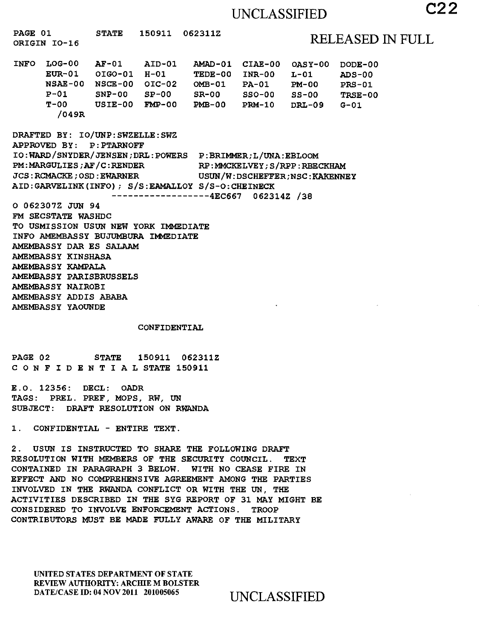# UNCLASSIFIED **C22**

**PAGE 01 STATE 150911 062311Z ORIGIN 10-16** RELEASED IN FULL **INFO LOG-00 AF-01 AID-01 AMAD-01 CIAE-00 OASY-00 DODE-00 EUR-01 OIG0-01 H-01 TEDE-00 INR-00 L-01 ADS-00 NSAE-00 NSCE-00 01C-02 OMB-01 PA-01 PM-00 PRS-01 P-01 SNP-00 SP-00 SR-00 SSO-00 SS-00 TRSE-00 T-00 USIE-00 FMP-00 PMB-00 PRM-10 DRL-09 G-01 /049R DRAFTED BY: IO/UNP:SWZELLE:SWZ APPROVED BY: P:PTARNOFF IO:WARD/SNYDER/JENSEN;DRL:POWERS P:BRIMMER;L/UNA:EBLOOM**  PM:MARGULIES; AF/C:RENDER RP:MMCKELVEY; S/RPP:RBECKHAM **JCS:RCMACKE;OSD:EWARNER USUN/W:DSCHEFFER;NSC:KAEENNEY AID:GARVELINK(INFO); S/S:EAMALLOY S/S-O:CHEINECK 4EC667 062314Z /38 0 062307Z JUN 94 FM SECSTATE WASHDC TO USMISSION USUN NEW YORK IMMEDIATE INFO AMEMBASSY BUJUMBURA IMMEDIATE AMEMBASSY DAR ES SALAAM AMEMBASSY KINSHASA AMEMBASSY KAMPALA AMEMBASSY PARISBRUSSELS AMEMBASSY NAIROBI AMEMBASSY ADDIS ABABA AMEMBASSY YAOUNDE CONFIDENTIAL PAGE 02 STATE 150911 062311Z CONFIDENTIALSTATE 150911 E.O. 12356: DECL: OADR TAGS: PREL. PREF, MOPS, RW, UN SUBJECT: DRAFT RESOLUTION ON RWANDA 1. CONFIDENTIAL - ENTIRE TEXT. 2. USUN IS INSTRUCTED TO SHARE THE FOLLOWING DRAFT RESOLUTION WITH MEMBERS OF THE SECURITY COUNCIL. TEXT CONTAINED IN PARAGRAPH 3 BELOW. WITH NO CEASE FIRE IN EFFECT AND NO COMPREHENSIVE AGREEMENT AMONG THE PARTIES INVOLVED IN THE RWANDA CONFLICT OR WITH THE UN, THE ACTIVITIES DESCRIBED IN THE SYG REPORT OF 31 MAY MIGHT BE CONSIDERED TO INVOLVE ENFORCEMENT ACTIONS. TROOP CONTRIBUTORS MUST BE MADE FULLY AWARE OF THE MILITARY** 

UNITED STATES DEPARTMENT OF STATE REVIEW AUTHORITY: ARCHIE M BOLSTER DATE/CASE ID: 04 NOV 2011 201005065 UNCLASSIFIED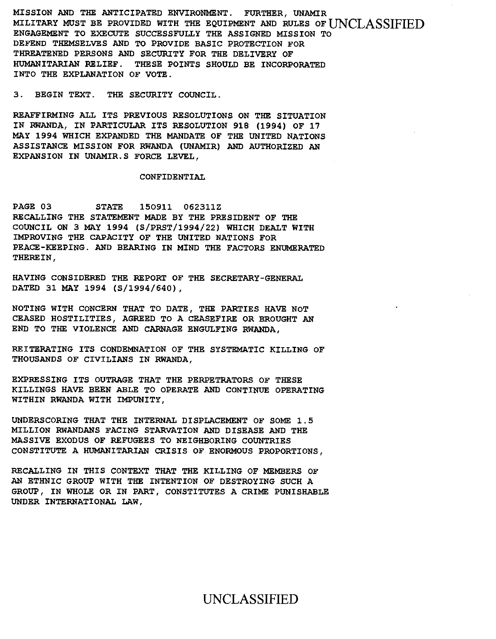**MISSION AND THE ANTICIPATED ENVIRONMENT. FURTHER, UNAMIR MILITARY MUST BE PROVIDED WITH THE EQUIPMENT AND RULES OF** UNCLASSIFIED **ENGAGEMENT TO EXECUTE SUCCESSFULLY THE ASSIGNED MISSION TO**  DEFEND THEMSELVES AND TO PROVIDE BASIC PROTECTION **FOR THREATENED PERSONS AND SECURITY FOR THE DELIVERY OF HUMANITARIAN RELIEF. THESE POINTS SHOULD BE INCORPORATED INTO THE EXPLANATION OF VOTE.** 

**3. BEGIN TEXT. THE SECURITY COUNCIL.** 

**REAFFIRMING ALL ITS PREVIOUS RESOLUTIONS ON THE SITUATION IN RWANDA, IN PARTICULAR ITS RESOLUTION 918 (1994) OF 17 MAY 1994 WHICH EXPANDED THE MANDATE OF THE UNITED NATIONS ASSISTANCE MISSION FOR RWANDA (UNAMIR) AND AUTHORIZED AN EXPANSION IN UNAMIR.S FORCE LEVEL,** 

#### **CONFIDENTIAL**

**PAGE 03 STATE 150911 062311Z RECALLING THE STATEMENT MADE BY THE PRESIDENT OF THE COUNCIL ON 3 MAY 1994 (S/PRST/1994/22) WHICH DEALT WITH IMPROVING THE CAPACITY OF THE UNITED NATIONS FOR PEACE-KEEPING. AND BEARING IN MIND THE FACTORS ENUMERATED THEREIN,** 

**HAVING CONSIDERED THE REPORT OF THE SECRETARY-GENERAL DATED 31 MAY 1994 (S/1994/640),** 

**NOTING WITH CONCERN THAT TO DATE, THE PARTIES HAVE NOT CEASED HOSTILITIES, AGREED TO A CEASEFIRE OR BROUGHT AN END TO THE VIOLENCE AND CARNAGE ENGULFING RWANDA,** 

**REITERATING ITS CONDEMNATION OF THE SYSTEMATIC KILLING OF THOUSANDS OF CIVILIANS IN RWANDA,** 

**EXPRESSING ITS OUTRAGE THAT THE PERPETRATORS OF THESE KILLINGS HAVE BEEN ABLE TO OPERATE AND CONTINUE OPERATING WITHIN RWANDA WITH IMPUNITY,** 

**UNDERSCORING THAT THE INTERNAL DISPLACEMENT OF SOME 1.5 MILLION RWANDANS FACING STARVATION AND DISEASE AND THE MASSIVE EXODUS OF REFUGEES TO NEIGHBORING COUNTRIES CONSTITUTE A HUMANITARIAN CRISIS OF ENORMOUS PROPORTIONS,** 

**RECALLING IN THIS CONTEXT THAT THE KILLING OF MEMBERS OF AN ETHNIC GROUP WITH THE INTENTION OF DESTROYING SUCH A GROUP, IN WHOLE OR IN PART, CONSTITUTES A CRIME PUNISHABLE UNDER INTERNATIONAL LAW,**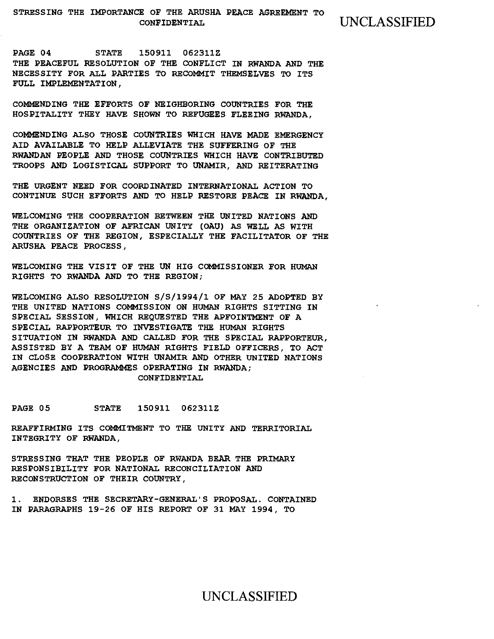PAGE 04 STATE 150911 062311Z THE PEACEFUL RESOLUTION OF THE CONFLICT IN RWANDA AND THE NECESSITY FOR ALL PARTIES TO RECOMMIT THEMSELVES TO ITS FULL IMPLEMENTATION,

COMMENDING THE EFFORTS OF NEIGHBORING COUNTRIES FOR THE HOSPITALITY THEY HAVE SHOWN TO REFUGEES FLEEING RWANDA,

COMMENDING ALSO THOSE COUNTRIES WHICH HAVE MADE EMERGENCY AID AVAILABLE TO HELP ALLEVIATE THE SUFFERING OF THE RWANDAN PEOPLE AND THOSE COUNTRIES WHICH HAVE CONTRIBUTED TROOPS AND LOGISTICAL SUPPORT TO UNAMIR, AND REITERATING

THE URGENT NEED FOR COORDINATED INTERNATIONAL ACTION TO CONTINUE SUCH EFFORTS AND TO HELP RESTORE PEACE IN RWANDA,

WELCOMING THE COOPERATION BETWEEN THE UNITED NATIONS AND THE ORGANIZATION OF AFRICAN UNITY (OAU) AS WELL AS WITH COUNTRIES OF THE REGION, ESPECIALLY THE FACILITATOR OF THE ARUSHA PEACE PROCESS,

WELCOMING THE VISIT OF THE UN HIG COMMISSIONER FOR HUMAN RIGHTS TO RWANDA AND TO THE REGION;

WELCOMING ALSO RESOLUTION S/S/1994/1 OF MAY 25 ADOPTED BY THE UNITED NATIONS COMMISSION ON HUMAN RIGHTS SITTING IN SPECIAL SESSION, WHICH REQUESTED THE APFOINTMENT OF A SPECIAL RAPPORTEUR TO INVESTIGATE THE HUMAN RIGHTS SITUATION IN RWANDA AND CALLED FOR THE SPECIAL RAPPORTEUR, ASSISTED BY A TEAM OF HUMAN RIGHTS FIELD OFFICERS, TO ACT IN CLOSE COOPERATION WITH UNAMIR AND OTHER UNITED NATIONS AGENCIES AND PROGRAMMES OPERATING IN RWANDA; CONFIDENTIAL

PAGE 05 STATE 150911 062311Z

REAFFIRMING ITS COMMITMENT TO THE UNITY AND TERRITORIAL INTEGRITY OF RWANDA,

STRESSING THAT THE PEOPLE OF RWANDA BEAR THE PRIMARY RESPONSIBILITY FOR NATIONAL RECONCILIATION AND RECONSTRUCTION OF THEIR COUNTRY,

1. ENDORSES THE SECRETARY-GENERAL'S PROPOSAL. CONTAINED IN PARAGRAPHS 19-26 OF HIS REPORT OF 31 MAY 1994, TO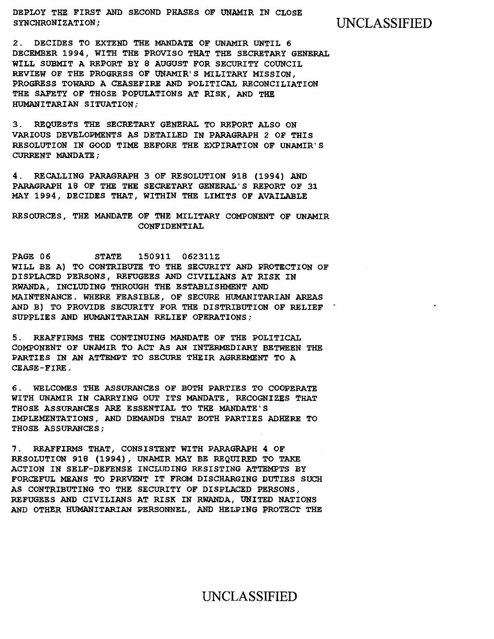DEPLOY THE FIRST AND SECOND PHASES OF UNAMIR IN CLOSE SYNCHRONIZATION; UNCLASSIFIED

2. DECIDES TO EXTEND THE MANDATE OF UNAMIR UNTIL 6 DECEMBER 1994, WITH THE PROVISO THAT THE SECRETARY GENERAL WILL SUBMIT A REPORT BY 8 AUGUST FOR SECURITY COUNCIL REVIEW OF THE PROGRESS OF UNAMIR'S MILITARY MISSION, PROGRESS TOWARD A CEASEFIRE AND POLITICAL RECONCILIATION THE SAFETY OF THOSE POPULATIONS AT RISK, AND THE HUMANITARIAN SITUATION;

3. REQUESTS THE SECRETARY GENERAL TO REPORT ALSO ON VARIOUS DEVELOPMENTS AS DETAILED IN PARAGRAPH 2 OF THIS RESOLUTION IN GOOD TIME BEFORE THE EXPIRATION OF UNAMIR'S CURRENT MANDATE;

4. RECALLING PARAGRAPH 3 OF RESOLUTION 918 (1994) AND PARAGRAPH 18 OF THE THE SECRETARY GENERAL'S REPORT OF 31 MAY 1994, DECIDES THAT, WITHIN THE LIMITS OF AVAILABLE

RESOURCES, THE MANDATE OF THE MILITARY COMPONENT OF UNAMIR CONFIDENTIAL

PAGE 06 STATE 150911 062311Z WILL BE A) TO CONTRIBUTE TO THE SECURITY AND PROTECTION OF DISPLACED PERSONS, REFUGEES AND CIVILIANS AT RISK IN RWANDA, INCLUDING THROUGH THE ESTABLISHMENT AND MAINTENANCE. WHERE FEASIBLE, OF SECURE HUMANITARIAN AREAS AND B) TO PROVIDE SECURITY FOR THE DISTRIBUTION OF RELIEF " SUPPLIES AND HUMANITARIAN RELIEF OPERATIONS;

5. REAFFIRMS THE CONTINUING MANDATE OF THE POLITICAL COMPONENT OF UNAMIR TO ACT AS AN INTERMEDIARY BETWEEN THE PARTIES IN AN ATTEMPT TO SECURE THEIR AGREEMENT TO A CEASE-FIRE.

6. WELCOMES THE ASSURANCES OF BOTH PARTIES TO COOPERATE WITH UNAMIR IN CARRYING OUT ITS MANDATE, RECOGNIZES THAT THOSE ASSURANCES ARE ESSENTIAL TO THE MANDATE'S IMPLEMENTATIONS, AND DEMANDS THAT BOTH PARTIES ADHERE TO THOSE ASSURANCES;

7. REAFFIRMS THAT, CONSISTENT WITH PARAGRAPH 4 OF RESOLUTION 918 (1994), UNAMIR MAY BE REQUIRED TO TAKE ACTION IN SELF-DEFENSE INCLUDING RESISTING ATTEMPTS BY FORCEFUL MEANS TO PREVENT IT FROM DISCHARGING DUTIES SUCH AS CONTRIBUTING TO THE SECURITY OF DISPLACED PERSONS, REFUGEES AND CIVILIANS AT RISK IN RWANDA, UNITED NATIONS AND OTHER HUMANITARIAN PERSONNEL, AND HELPING PROTECT THE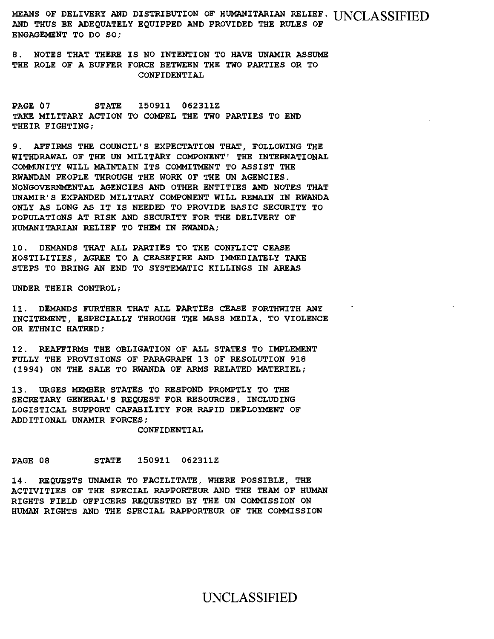MEANS OF DELIVERY AND DISTRIBUTION OF HUMANITARIAN RELIEF. UNCLASSIFIED AND THUS BE ADEQUATELY EQUIPPED AND PROVIDED THE RULES OF ENGAGEMENT TO DO SO;

8. NOTES THAT THERE IS NO INTENTION TO HAVE UNAMIR ASSUME THE ROLE OF A BUFFER FORCE BETWEEN THE TWO PARTIES OR TO CONFIDENTIAL

PAGE 07 STATE 150911 062311Z TAKE MILITARY ACTION TO COMPEL THE TWO PARTIES TO END THEIR FIGHTING;

9. AFFIRMS THE COUNCIL'S EXPECTATION THAT, FOLLOWING THE WITHDRAWAL OF THE UN MILITARY COMPONENT' THE INTERNATIONAL COMMUNITY WILL MAINTAIN ITS COMMITMENT TO ASSIST THE RWANDAN PEOPLE THROUGH THE WORK OF THE UN AGENCIES. NONGOVERNMENTAL AGENCIES AND OTHER ENTITIES AND NOTES THAT UNAMIR'S EXPANDED MILITARY COMPONENT WILL REMAIN IN RWANDA ONLY AS LONG AS IT IS NEEDED TO PROVIDE BASIC SECURITY TO POPULATIONS AT RISK AND SECURITY FOR THE DELIVERY OF HUMANITARIAN RELIEF TO THEM IN RWANDA;

10. DEMANDS THAT ALL PARTIES TO THE CONFLICT CEASE HOSTILITIES, AGREE TO A CEASEFIRE AND IMMEDIATELY TAKE STEPS TO BRING AN END TO SYSTEMATIC KILLINGS IN AREAS

UNDER THEIR CONTROL;

11. DEMANDS FURTHER THAT ALL PARTIES CEASE FORTHWITH ANY INCITEMENT, ESPECIALLY THROUGH THE MASS MEDIA, TO VIOLENCE OR ETHNIC HATRED;

12. REAFFIRMS THE OBLIGATION OF ALL STATES TO IMPLEMENT FULLY THE PROVISIONS OF PARAGRAPH 13 OF RESOLUTION 918 (1994) ON THE SALE TO RWANDA OF ARMS RELATED MATERIEL;

13. URGES MEMBER STATES TO RESPOND PROMPTLY TO THE SECRETARY GENERAL'S REQUEST FOR RESOURCES, INCLUDING LOGISTICAL SUPPORT CAPABILITY FOR RAPID DEPLOYMENT OF ADDITIONAL UNAMIR FORCES;

CONFIDENTIAL

PAGE 08 STATE 150911 062311Z

14. REQUESTS UNAMIR TO FACILITATE, WHERE POSSIBLE, THE ACTIVITIES OF THE SPECIAL RAPPORTEUR AND THE TEAM OF HUMAN RIGHTS FIELD OFFICERS REQUESTED BY THE UN COMMISSION ON HUMAN RIGHTS AND THE SPECIAL RAPPORTEUR OF THE COMMISSION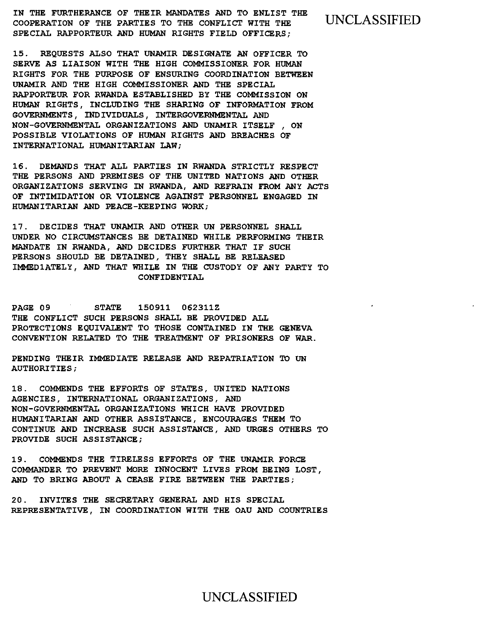**IN THE FURTHERANCE OF THEIR MANDATES AND TO ENLIST THE COOPERATION OF THE PARTIES TO THE CONFLICT WITH THE** UNCLASSIFIED **SPECIAL RAPPORTEUR AND HUMAN RIGHTS FIELD OFFICERS;** 

**15. REQUESTS ALSO THAT UNAMIR DESIGNATE AN OFFICER TO SERVE AS LIAISON WITH THE HIGH COMMISSIONER FOR HUMAN RIGHTS FOR THE PURPOSE OF ENSURING COORDINATION BETWEEN UNAMIR AND THE HIGH COMMISSIONER AND THE SPECIAL RAPPORTEUR FOR RWANDA ESTABLISHED BY THE COMMISSION ON HUMAN RIGHTS, INCLUDING THE SHARING OF INFORMATION FROM GOVERNMENTS, INDIVIDUALS, INTERGOVERNMENTAL AND NON-GOVERNMENTAL ORGANIZATIONS AND UNAMIR ITSELF , ON POSSIBLE VIOLATIONS OF HUMAN RIGHTS AND BREACHES OF INTERNATIONAL HUMANITARIAN LAW;** 

**16. DEMANDS THAT ALL PARTIES IN RWANDA STRICTLY RESPECT THE PERSONS AND PREMISES OF THE UNITED NATIONS AND OTHER ORGANIZATIONS SERVING IN RWANDA, AND REFRAIN FROM ANY ACTS OF INTIMIDATION OR VIOLENCE AGAINST PERSONNEL ENGAGED IN HUMANITARIAN AND PEACE-KEEPING WORK;** 

**17. DECIDES THAT UNAMIR AND OTHER UN PERSONNEL SHALL UNDER NO CIRCUMSTANCES BE DETAINED WHILE PERFORMING THEIR MANDATE IN RWANDA, AND DECIDES FURTHER THAT IF SUCH PERSONS SHOULD BE DETAINED, THEY SHALL BE RELEASED IMMEDIATELY, AND THAT WHILE IN THE CUSTODY OF ANY PARTY TO CONFIDENTIAL** 

**PAGE 09 STATE 150911 062311Z THE CONFLICT SUCH PERSONS SHALL BE PROVIDED ALL PROTECTIONS EQUIVALENT TO THOSE CONTAINED IN THE GENEVA CONVENTION RELATED TO THE TREATMENT OF PRISONERS OF WAR.** 

**PENDING THEIR IMMEDIATE RELEASE AND REPATRIATION TO UN AUTHORITIES;** 

**18. COMMENDS THE EFFORTS OF STATES, UNITED NATIONS AGENCIES, INTERNATIONAL ORGANIZATIONS, AND NON-GOVERNMENTAL ORGANIZATIONS WHICH HAVE PROVIDED HUMANITARIAN AND OTHER ASSISTANCE, ENCOURAGES THEM TO CONTINUE AND INCREASE SUCH ASSISTANCE, AND URGES OTHERS TO PROVIDE SUCH ASSISTANCE;** 

**19. COMMENDS THE TIRELESS EFFORTS OF THE UNAMIR FORCE COMMANDER TO PREVENT MORE INNOCENT LIVES FROM BEING LOST, AND TO BRING ABOUT A CEASE FIRE BETWEEN THE PARTIES;** 

**20. INVITES THE SECRETARY GENERAL AND HIS SPECIAL REPRESENTATIVE, IN COORDINATION WITH THE OAU AND COUNTRIES**